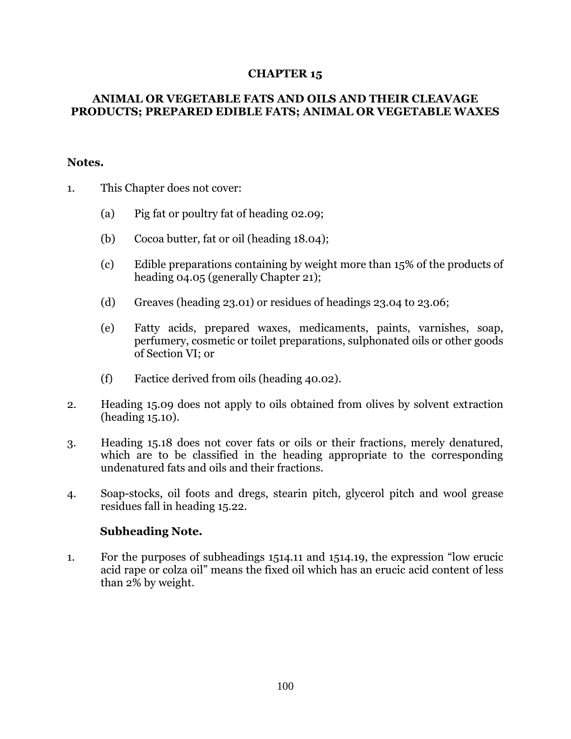## **CHAPTER 15**

## **ANIMAL OR VEGETABLE FATS AND OILS AND THEIR CLEAVAGE PRODUCTS; PREPARED EDIBLE FATS; ANIMAL OR VEGETABLE WAXES**

## **Notes.**

- 1. This Chapter does not cover:
	- (a) Pig fat or poultry fat of heading 02.09;
	- (b) Cocoa butter, fat or oil (heading 18.04);
	- (c) Edible preparations containing by weight more than 15% of the products of heading 04.05 (generally Chapter 21);
	- (d) Greaves (heading 23.01) or residues of headings 23.04 to 23.06;
	- (e) Fatty acids, prepared waxes, medicaments, paints, varnishes, soap, perfumery, cosmetic or toilet preparations, sulphonated oils or other goods of Section VI; or
	- (f) Factice derived from oils (heading 40.02).
- 2. Heading 15.09 does not apply to oils obtained from olives by solvent extraction (heading 15.10).
- 3. Heading 15.18 does not cover fats or oils or their fractions, merely denatured, which are to be classified in the heading appropriate to the corresponding undenatured fats and oils and their fractions.
- 4. Soap-stocks, oil foots and dregs, stearin pitch, glycerol pitch and wool grease residues fall in heading 15.22.

## **Subheading Note.**

1. For the purposes of subheadings 1514.11 and 1514.19, the expression "low erucic acid rape or colza oil" means the fixed oil which has an erucic acid content of less than 2% by weight.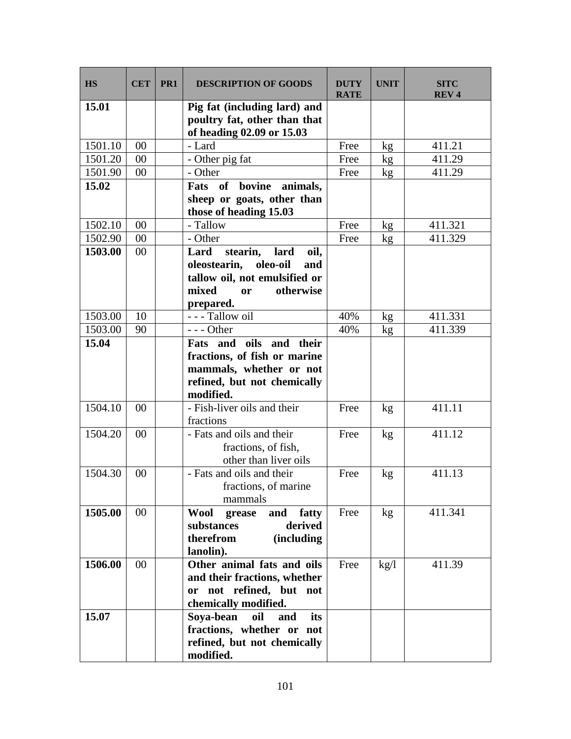| <b>HS</b> | <b>CET</b> | PR <sub>1</sub> | <b>DESCRIPTION OF GOODS</b>                                                                                   | <b>DUTY</b><br><b>RATE</b> | <b>UNIT</b>     | <b>SITC</b><br><b>REV4</b> |
|-----------|------------|-----------------|---------------------------------------------------------------------------------------------------------------|----------------------------|-----------------|----------------------------|
| 15.01     |            |                 | Pig fat (including lard) and<br>poultry fat, other than that<br>of heading 02.09 or 15.03                     |                            |                 |                            |
| 1501.10   | 00         |                 | - Lard                                                                                                        | Free                       | kg              | 411.21                     |
| 1501.20   | 00         |                 | - Other pig fat                                                                                               | Free                       | kg              | 411.29                     |
| 1501.90   | 00         |                 | - Other                                                                                                       | Free                       | kg              | 411.29                     |
| 15.02     |            |                 | Fats of bovine<br>animals,                                                                                    |                            |                 |                            |
|           |            |                 | sheep or goats, other than<br>those of heading 15.03                                                          |                            |                 |                            |
| 1502.10   | 00         |                 | - Tallow                                                                                                      | Free                       | kg <sub>2</sub> | 411.321                    |
| 1502.90   | 00         |                 | - Other                                                                                                       | Free                       | kg <sub>2</sub> | 411.329                    |
| 1503.00   | 00         |                 | Lard<br>stearin,<br>lard<br>oil,                                                                              |                            |                 |                            |
|           |            |                 | oleostearin,<br>oleo-oil<br>and                                                                               |                            |                 |                            |
|           |            |                 | tallow oil, not emulsified or                                                                                 |                            |                 |                            |
|           |            |                 | mixed<br>otherwise<br><b>or</b>                                                                               |                            |                 |                            |
|           |            |                 | prepared.                                                                                                     |                            |                 |                            |
| 1503.00   | 10         |                 | --- Tallow oil                                                                                                | 40%                        | kg              | 411.331                    |
| 1503.00   | 90         |                 | $--$ Other                                                                                                    | 40%                        | kg              | 411.339                    |
| 15.04     |            |                 | oils and their<br>Fats and                                                                                    |                            |                 |                            |
|           |            |                 | fractions, of fish or marine                                                                                  |                            |                 |                            |
|           |            |                 | mammals, whether or not                                                                                       |                            |                 |                            |
|           |            |                 | refined, but not chemically                                                                                   |                            |                 |                            |
|           |            |                 | modified.                                                                                                     |                            |                 |                            |
| 1504.10   | 00         |                 | - Fish-liver oils and their<br>fractions                                                                      | Free                       | kg              | 411.11                     |
| 1504.20   | 00         |                 | - Fats and oils and their<br>fractions, of fish,<br>other than liver oils                                     | Free                       | kg <sub>2</sub> | 411.12                     |
| 1504.30   | 00         |                 | - Fats and oils and their<br>fractions, of marine<br>mammals                                                  | Free                       | kg              | 411.13                     |
| 1505.00   | $00\,$     |                 | Wool<br>fatty<br>grease<br>and<br>substances<br>derived<br>therefrom<br><i>(including)</i><br>lanolin).       | Free                       | kg <sub>2</sub> | 411.341                    |
| 1506.00   | $00\,$     |                 | Other animal fats and oils<br>and their fractions, whether<br>or not refined, but not<br>chemically modified. | Free                       | kg/l            | 411.39                     |
| 15.07     |            |                 | Soya-bean<br>oil<br>its<br>and<br>fractions, whether or not<br>refined, but not chemically<br>modified.       |                            |                 |                            |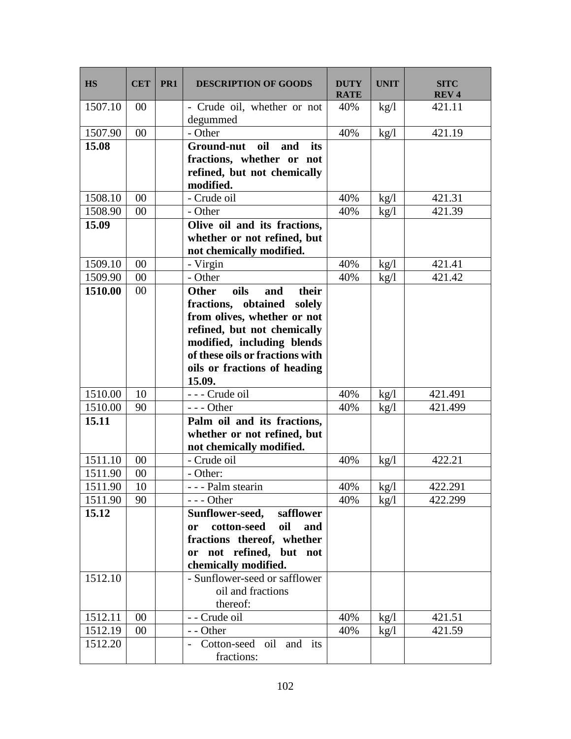| <b>HS</b> | <b>CET</b> | PR <sub>1</sub> | <b>DESCRIPTION OF GOODS</b>             | <b>DUTY</b><br><b>RATE</b> | <b>UNIT</b>  | <b>SITC</b><br>REV <sub>4</sub> |
|-----------|------------|-----------------|-----------------------------------------|----------------------------|--------------|---------------------------------|
| 1507.10   | 00         |                 | - Crude oil, whether or not<br>degummed | 40%                        | kg/l         | 421.11                          |
| 1507.90   | 00         |                 | - Other                                 | 40%                        | kg/l         | 421.19                          |
| 15.08     |            |                 | <b>Ground-nut</b><br>oil<br>and<br>its  |                            |              |                                 |
|           |            |                 | fractions, whether or not               |                            |              |                                 |
|           |            |                 | refined, but not chemically             |                            |              |                                 |
|           |            |                 | modified.                               |                            |              |                                 |
| 1508.10   | 00         |                 | - Crude oil                             | 40%                        | kg/l         | 421.31                          |
| 1508.90   | 00         |                 | - Other                                 | 40%                        | kg/l         | 421.39                          |
| 15.09     |            |                 | Olive oil and its fractions,            |                            |              |                                 |
|           |            |                 | whether or not refined, but             |                            |              |                                 |
|           |            |                 | not chemically modified.                |                            |              |                                 |
| 1509.10   | 00         |                 | - Virgin                                | 40%                        | kg/l         | 421.41                          |
| 1509.90   | 00         |                 | - Other                                 | 40%                        | kg/l         | 421.42                          |
| 1510.00   | 00         |                 | oils<br><b>Other</b><br>and<br>their    |                            |              |                                 |
|           |            |                 | fractions, obtained solely              |                            |              |                                 |
|           |            |                 | from olives, whether or not             |                            |              |                                 |
|           |            |                 | refined, but not chemically             |                            |              |                                 |
|           |            |                 | modified, including blends              |                            |              |                                 |
|           |            |                 | of these oils or fractions with         |                            |              |                                 |
|           |            |                 | oils or fractions of heading            |                            |              |                                 |
| 1510.00   | 10         |                 | 15.09.<br>--- Crude oil                 | 40%                        |              | 421.491                         |
| 1510.00   | 90         |                 | $--$ Other                              | 40%                        | kg/l<br>kg/l | 421.499                         |
| 15.11     |            |                 | Palm oil and its fractions,             |                            |              |                                 |
|           |            |                 | whether or not refined, but             |                            |              |                                 |
|           |            |                 | not chemically modified.                |                            |              |                                 |
| 1511.10   | 00         |                 | - Crude oil                             | 40%                        | kg/l         | 422.21                          |
| 1511.90   | $00\,$     |                 | - Other:                                |                            |              |                                 |
| 1511.90   | 10         |                 | - - - Palm stearin                      | 40%                        | kg/l         | 422.291                         |
| 1511.90   | 90         |                 | $--$ Other                              | 40%                        | kg/l         | 422.299                         |
| 15.12     |            |                 | Sunflower-seed,<br>safflower            |                            |              |                                 |
|           |            |                 | cotton-seed<br>oil<br>and<br>or         |                            |              |                                 |
|           |            |                 | fractions thereof, whether              |                            |              |                                 |
|           |            |                 | or not refined, but not                 |                            |              |                                 |
|           |            |                 | chemically modified.                    |                            |              |                                 |
| 1512.10   |            |                 | - Sunflower-seed or safflower           |                            |              |                                 |
|           |            |                 | oil and fractions                       |                            |              |                                 |
|           |            |                 | thereof:                                |                            |              |                                 |
| 1512.11   | 00         |                 | - - Crude oil                           | 40%                        | kg/l         | 421.51                          |
| 1512.19   | 00         |                 | - - Other                               | 40%                        | kg/l         | 421.59                          |
| 1512.20   |            |                 | Cotton-seed oil and its                 |                            |              |                                 |
|           |            |                 | fractions:                              |                            |              |                                 |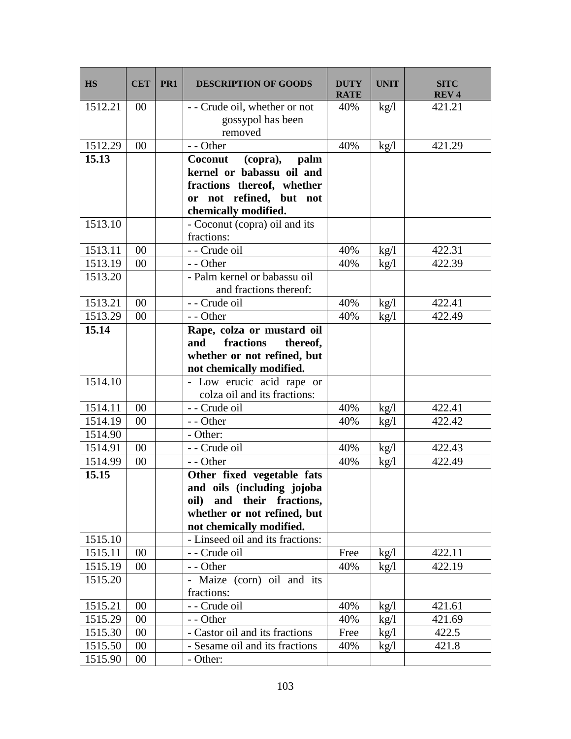| <b>HS</b> | <b>CET</b> | PR <sub>1</sub> | <b>DESCRIPTION OF GOODS</b>                                   | <b>DUTY</b><br><b>RATE</b> | <b>UNIT</b> | <b>SITC</b><br>REV <sub>4</sub> |
|-----------|------------|-----------------|---------------------------------------------------------------|----------------------------|-------------|---------------------------------|
| 1512.21   | $00\,$     |                 | - - Crude oil, whether or not<br>gossypol has been<br>removed | 40%                        | kg/l        | 421.21                          |
| 1512.29   | 00         |                 | - - Other                                                     | 40%                        | kg/l        | 421.29                          |
| 15.13     |            |                 | Coconut<br>(copra), palm                                      |                            |             |                                 |
|           |            |                 | kernel or babassu oil and                                     |                            |             |                                 |
|           |            |                 | fractions thereof, whether                                    |                            |             |                                 |
|           |            |                 | or not refined, but not                                       |                            |             |                                 |
|           |            |                 | chemically modified.                                          |                            |             |                                 |
| 1513.10   |            |                 | - Coconut (copra) oil and its                                 |                            |             |                                 |
|           |            |                 | fractions:                                                    |                            |             |                                 |
| 1513.11   | 00         |                 | - - Crude oil                                                 | 40%                        | kg/l        | 422.31                          |
| 1513.19   | 00         |                 | - - Other                                                     | 40%                        | kg/l        | 422.39                          |
| 1513.20   |            |                 | - Palm kernel or babassu oil                                  |                            |             |                                 |
|           |            |                 | and fractions thereof:                                        |                            |             |                                 |
| 1513.21   | 00         |                 | - Crude oil                                                   | 40%                        | kg/l        | 422.41                          |
| 1513.29   | 00         |                 | - - Other                                                     | 40%                        | kg/l        | 422.49                          |
| 15.14     |            |                 | Rape, colza or mustard oil                                    |                            |             |                                 |
|           |            |                 | fractions<br>and<br>thereof,<br>whether or not refined, but   |                            |             |                                 |
|           |            |                 | not chemically modified.                                      |                            |             |                                 |
| 1514.10   |            |                 | - Low erucic acid rape or                                     |                            |             |                                 |
|           |            |                 | colza oil and its fractions:                                  |                            |             |                                 |
| 1514.11   | 00         |                 | - - Crude oil                                                 | 40%                        | kg/l        | 422.41                          |
| 1514.19   | 00         |                 | - - Other                                                     | 40%                        | kg/l        | 422.42                          |
| 1514.90   |            |                 | - Other:                                                      |                            |             |                                 |
| 1514.91   | 00         |                 | - - Crude oil                                                 | 40%                        | kg/l        | 422.43                          |
| 1514.99   | 00         |                 | - - Other                                                     | 40%                        | kg/l        | 422.49                          |
| 15.15     |            |                 | Other fixed vegetable fats                                    |                            |             |                                 |
|           |            |                 | and oils (including jojoba                                    |                            |             |                                 |
|           |            |                 | their fractions,<br>and<br>oil)                               |                            |             |                                 |
|           |            |                 | whether or not refined, but                                   |                            |             |                                 |
|           |            |                 | not chemically modified.                                      |                            |             |                                 |
| 1515.10   |            |                 | - Linseed oil and its fractions:                              |                            |             |                                 |
| 1515.11   | $00\,$     |                 | - - Crude oil                                                 | Free                       | kg/l        | 422.11                          |
| 1515.19   | $00\,$     |                 | - - Other                                                     | 40%                        | kg/l        | 422.19                          |
| 1515.20   |            |                 | - Maize<br>(corn) oil and its                                 |                            |             |                                 |
|           |            |                 | fractions:                                                    |                            |             |                                 |
| 1515.21   | $00\,$     |                 | - - Crude oil                                                 | 40%                        | kg/l        | 421.61                          |
| 1515.29   | $00\,$     |                 | - - Other                                                     | 40%                        | kg/l        | 421.69                          |
| 1515.30   | $00\,$     |                 | - Castor oil and its fractions                                | Free                       | kg/l        | 422.5                           |
| 1515.50   | 00         |                 | - Sesame oil and its fractions                                | 40%                        | kg/l        | 421.8                           |
| 1515.90   | $00\,$     |                 | - Other:                                                      |                            |             |                                 |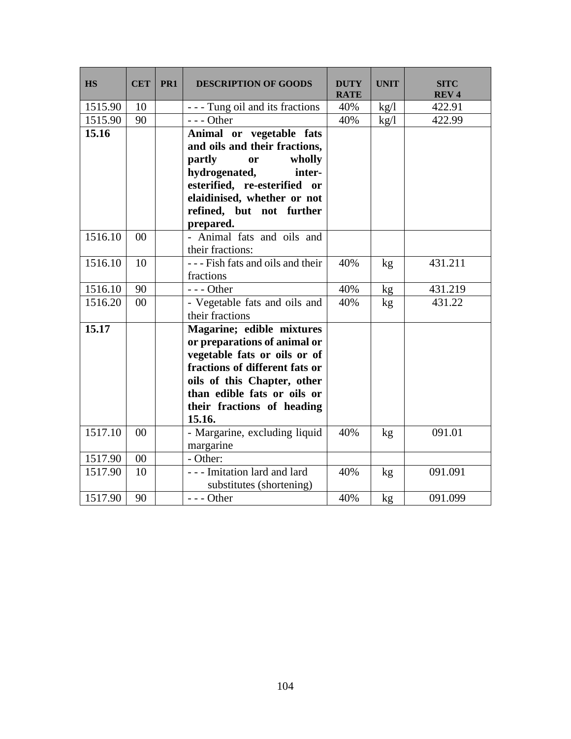| <b>HS</b> | <b>CET</b> | PR <sub>1</sub> | <b>DESCRIPTION OF GOODS</b>      | <b>DUTY</b><br><b>RATE</b> | <b>UNIT</b> | <b>SITC</b><br>REV <sub>4</sub> |
|-----------|------------|-----------------|----------------------------------|----------------------------|-------------|---------------------------------|
| 1515.90   | 10         |                 | --- Tung oil and its fractions   | 40%                        | kg/l        | 422.91                          |
| 1515.90   | 90         |                 | $--$ Other                       | 40%                        | kg/l        | 422.99                          |
| 15.16     |            |                 | Animal or vegetable fats         |                            |             |                                 |
|           |            |                 | and oils and their fractions,    |                            |             |                                 |
|           |            |                 | partly<br>wholly<br>or           |                            |             |                                 |
|           |            |                 | hydrogenated,<br>inter-          |                            |             |                                 |
|           |            |                 | esterified, re-esterified or     |                            |             |                                 |
|           |            |                 | elaidinised, whether or not      |                            |             |                                 |
|           |            |                 | refined, but not further         |                            |             |                                 |
|           |            |                 | prepared.                        |                            |             |                                 |
| 1516.10   | 00         |                 | - Animal fats and oils and       |                            |             |                                 |
|           |            |                 | their fractions:                 |                            |             |                                 |
| 1516.10   | 10         |                 | --- Fish fats and oils and their | 40%                        | kg          | 431.211                         |
|           |            |                 | fractions                        |                            |             |                                 |
| 1516.10   | 90         |                 | $--$ Other                       | 40%                        | kg          | 431.219                         |
| 1516.20   | 00         |                 | - Vegetable fats and oils and    | 40%                        | kg          | 431.22                          |
|           |            |                 | their fractions                  |                            |             |                                 |
| 15.17     |            |                 | Magarine; edible mixtures        |                            |             |                                 |
|           |            |                 | or preparations of animal or     |                            |             |                                 |
|           |            |                 | vegetable fats or oils or of     |                            |             |                                 |
|           |            |                 | fractions of different fats or   |                            |             |                                 |
|           |            |                 | oils of this Chapter, other      |                            |             |                                 |
|           |            |                 | than edible fats or oils or      |                            |             |                                 |
|           |            |                 | their fractions of heading       |                            |             |                                 |
|           |            |                 | 15.16.                           |                            |             |                                 |
| 1517.10   | 00         |                 | - Margarine, excluding liquid    | 40%                        | kg          | 091.01                          |
|           |            |                 | margarine                        |                            |             |                                 |
| 1517.90   | $00\,$     |                 | - Other:                         |                            |             |                                 |
| 1517.90   | 10         |                 | --- Imitation lard and lard      | 40%                        | kg          | 091.091                         |
|           |            |                 | substitutes (shortening)         |                            |             |                                 |
| 1517.90   | 90         |                 | --- Other                        | 40%                        | kg          | 091.099                         |